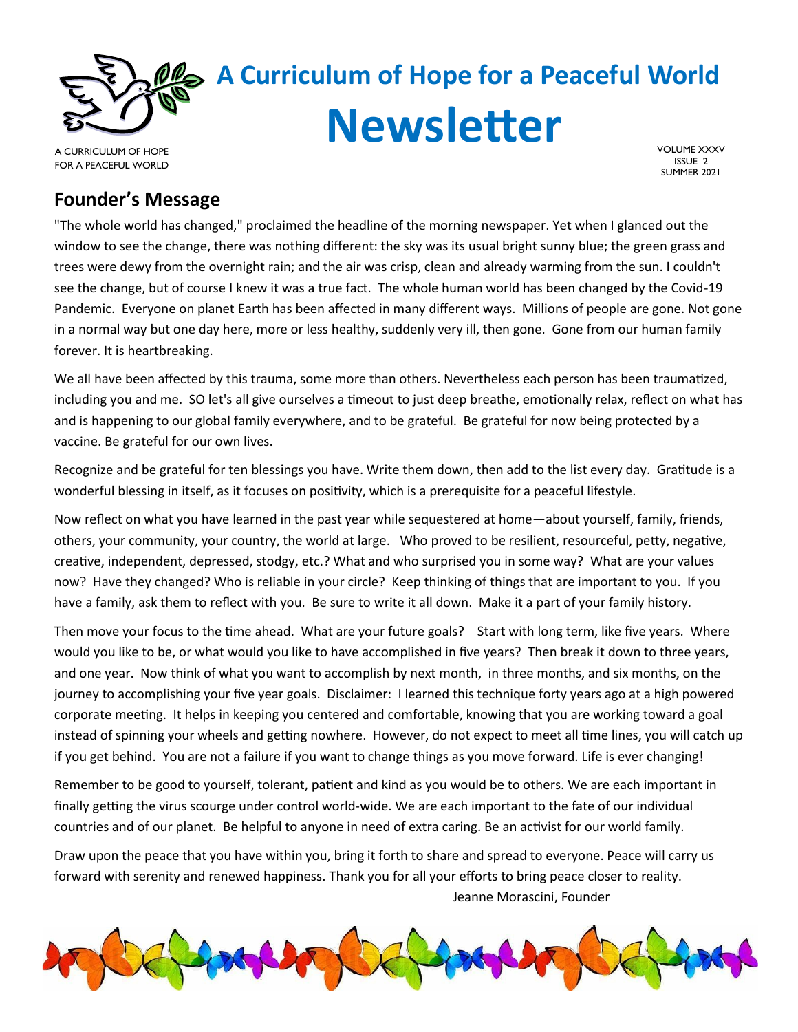

# **A Curriculum of Hope for a Peaceful World Newsletter**

A CURRICULUM OF HOPE FOR A PEACEFUL WORLD VOLUME XXXV ISSUE 2 SUMMER 2021

### **Founder's Message**

"The whole world has changed," proclaimed the headline of the morning newspaper. Yet when I glanced out the window to see the change, there was nothing different: the sky was its usual bright sunny blue; the green grass and trees were dewy from the overnight rain; and the air was crisp, clean and already warming from the sun. I couldn't see the change, but of course I knew it was a true fact. The whole human world has been changed by the Covid-19 Pandemic. Everyone on planet Earth has been affected in many different ways. Millions of people are gone. Not gone in a normal way but one day here, more or less healthy, suddenly very ill, then gone. Gone from our human family forever. It is heartbreaking.

We all have been affected by this trauma, some more than others. Nevertheless each person has been traumatized, including you and me. SO let's all give ourselves a timeout to just deep breathe, emotionally relax, reflect on what has and is happening to our global family everywhere, and to be grateful. Be grateful for now being protected by a vaccine. Be grateful for our own lives.

Recognize and be grateful for ten blessings you have. Write them down, then add to the list every day. Gratitude is a wonderful blessing in itself, as it focuses on positivity, which is a prerequisite for a peaceful lifestyle.

Now reflect on what you have learned in the past year while sequestered at home—about yourself, family, friends, others, your community, your country, the world at large. Who proved to be resilient, resourceful, petty, negative, creative, independent, depressed, stodgy, etc.? What and who surprised you in some way? What are your values now? Have they changed? Who is reliable in your circle? Keep thinking of things that are important to you. If you have a family, ask them to reflect with you. Be sure to write it all down. Make it a part of your family history.

Then move your focus to the time ahead. What are your future goals? Start with long term, like five years. Where would you like to be, or what would you like to have accomplished in five years? Then break it down to three years, and one year. Now think of what you want to accomplish by next month, in three months, and six months, on the journey to accomplishing your five year goals. Disclaimer: I learned this technique forty years ago at a high powered corporate meeting. It helps in keeping you centered and comfortable, knowing that you are working toward a goal instead of spinning your wheels and getting nowhere. However, do not expect to meet all time lines, you will catch up if you get behind. You are not a failure if you want to change things as you move forward. Life is ever changing!

Remember to be good to yourself, tolerant, patient and kind as you would be to others. We are each important in finally getting the virus scourge under control world-wide. We are each important to the fate of our individual countries and of our planet. Be helpful to anyone in need of extra caring. Be an activist for our world family.

Draw upon the peace that you have within you, bring it forth to share and spread to everyone. Peace will carry us forward with serenity and renewed happiness. Thank you for all your efforts to bring peace closer to reality. Jeanne Morascini, Founder

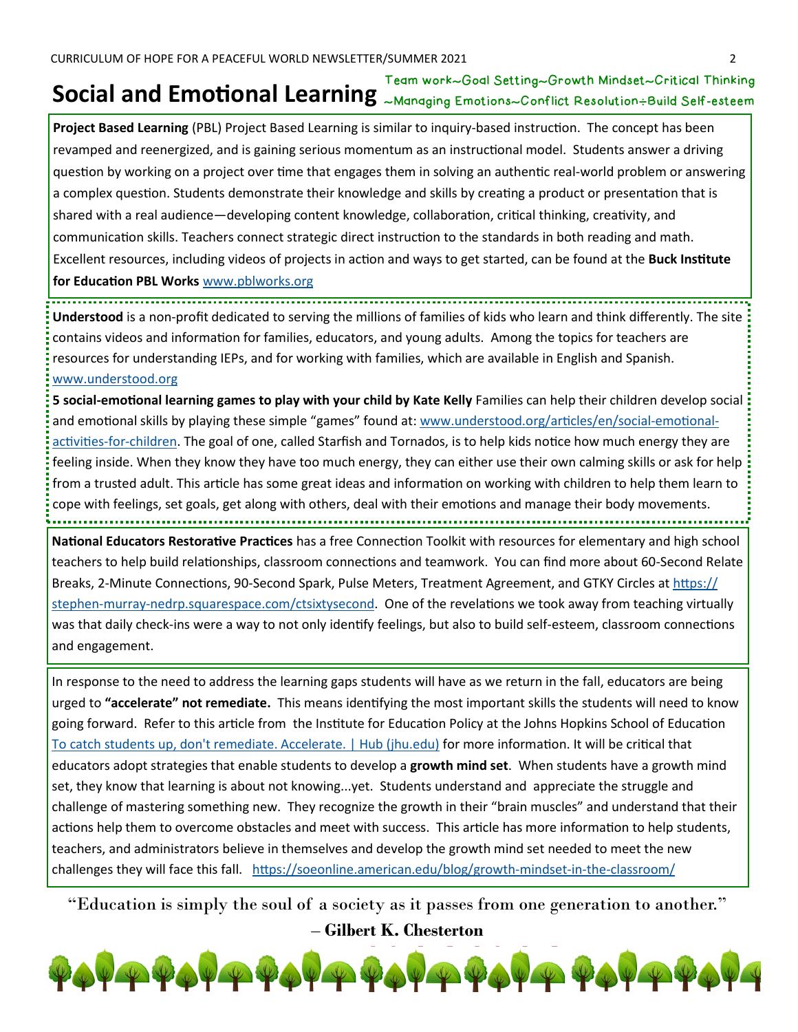### **Social and Emotional Learning** ~Managing Emotions~Conflict Resolution÷Build Self-esteemTeam work~Goal Setting~Growth Mindset~Critical Thinking

**Project Based Learning** (PBL) Project Based Learning is similar to inquiry-based instruction. The concept has been revamped and reenergized, and is gaining serious momentum as an instructional model. Students answer a driving question by working on a project over time that engages them in solving an authentic real-world problem or answering a complex question. Students demonstrate their knowledge and skills by creating a product or presentation that is shared with a real audience—developing content knowledge, collaboration, critical thinking, creativity, and communication skills. Teachers connect strategic direct instruction to the standards in both reading and math. Excellent resources, including videos of projects in action and ways to get started, can be found at the **Buck Institute for Education PBL Works** [www.pblworks.org](http://www.pblworks.org) 

**Understood** is a non-profit dedicated to serving the millions of families of kids who learn and think differently. The site contains videos and information for families, educators, and young adults. Among the topics for teachers are resources for understanding IEPs, and for working with families, which are available in English and Spanish. [www.understood.org](http://www.understood.org)

**5 social-emotional learning games to play with your child by Kate Kelly** Families can help their children develop social and emotional skills by playing these simple "games" found at: [www.understood.org/articles/en/social](http://www.understood.org/articles/en/social-emotional-activities-for-children)-emotional[activities](http://www.understood.org/articles/en/social-emotional-activities-for-children)-for-children. The goal of one, called Starfish and Tornados, is to help kids notice how much energy they are feeling inside. When they know they have too much energy, they can either use their own calming skills or ask for help from a trusted adult. This article has some great ideas and information on working with children to help them learn to cope with feelings, set goals, get along with others, deal with their emotions and manage their body movements. 

**National Educators Restorative Practices** has a free Connection Toolkit with resources for elementary and high school teachers to help build relationships, classroom connections and teamwork. You can find more about 60-Second Relate Breaks, 2-Minute Connections, 90-Second Spark, Pulse Meters, Treatment Agreement, and GTKY Circles at [https://](https://stephen-murray-nedrp.squarespace.com/ctsixtysecond) stephen-murray-[nedrp.squarespace.com/ctsixtysecond.](https://stephen-murray-nedrp.squarespace.com/ctsixtysecond) One of the revelations we took away from teaching virtually was that daily check-ins were a way to not only identify feelings, but also to build self-esteem, classroom connections and engagement.

In response to the need to address the learning gaps students will have as we return in the fall, educators are being urged to **"accelerate" not remediate.** This means identifying the most important skills the students will need to know going forward. Refer to this article from the Institute for Education Policy at the Johns Hopkins School of Education [To catch students up, don't remediate. Accelerate. | Hub \(jhu.edu\)](https://hub.jhu.edu/2021/05/06/accelerate-learning-to-bridge-covid-19-education-gaps/) for more information. It will be critical that educators adopt strategies that enable students to develop a **growth mind set**. When students have a growth mind set, they know that learning is about not knowing...yet. Students understand and appreciate the struggle and challenge of mastering something new. They recognize the growth in their "brain muscles" and understand that their actions help them to overcome obstacles and meet with success. This article has more information to help students, teachers, and administrators believe in themselves and develop the growth mind set needed to meet the new challenges they will face this fall. [https://soeonline.american.edu/blog/growth](https://soeonline.american.edu/blog/growth-mindset-in-the-classroom/)-mindset-in-the-classroom/

"Education is simply the soul of a society as it passes from one generation to another." – **Gilbert K. Chesterton**

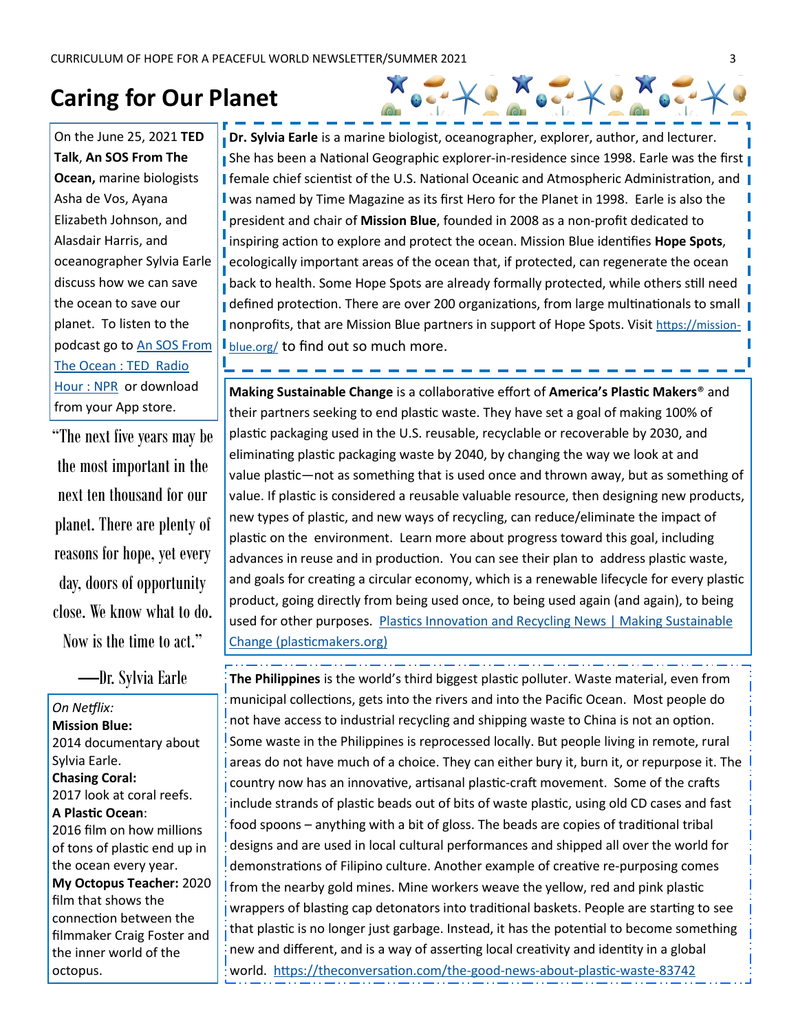## **Caring for Our Planet**

On the June 25, 2021 **TED Talk**, **An SOS From The Ocean,** marine biologists Asha de Vos, Ayana Elizabeth Johnson, and Alasdair Harris, and oceanographer Sylvia Earle discuss how we can save the ocean to save our planet. To listen to the podcast go to [An SOS From](https://www.npr.org/2021/06/17/1007618592/an-sos-from-the-ocean)  [The Ocean : TED Radio](https://www.npr.org/2021/06/17/1007618592/an-sos-from-the-ocean)  [Hour : NPR](https://www.npr.org/2021/06/17/1007618592/an-sos-from-the-ocean) or download from your App store.

"The next five years may be the most important in the next ten thousand for our planet. There are plenty of reasons for hope, yet every day, doors of opportunity close. We know what to do. Now is the time to act."

—Dr. Sylvia Earle

*On Netflix:* **Mission Blue:**  2014 documentary about Sylvia Earle. **Chasing Coral:**  2017 look at coral reefs. **A Plastic Ocean**: 2016 film on how millions of tons of plastic end up in the ocean every year. **My Octopus Teacher:** 2020 film that shows the connection between the filmmaker Craig Foster and the inner world of the octopus.

**Dr. Sylvia Earle** is a marine biologist, oceanographer, explorer, author, and lecturer. She has been a National Geographic explorer-in-residence since 1998. Earle was the first **I** female chief scientist of the U.S. National Oceanic and Atmospheric Administration, and **I** was named by Time Magazine as its first Hero for the Planet in 1998. Earle is also the president and chair of **Mission Blue**, founded in 2008 as a non-profit dedicated to inspiring action to explore and protect the ocean. Mission Blue identifies **Hope Spots**, ecologically important areas of the ocean that, if protected, can regenerate the ocean back to health. Some Hope Spots are already formally protected, while others still need **defined protection. There are over 200 organizations, from large multinationals to small I** nonprofits, that are Mission Blue partners in support of Hope Spots. Visit [https://mission](https://mission-blue.org/)-**I** [blue.org/](https://mission-blue.org/) to find out so much more.

**Making Sustainable Change** is a collaborative effort of **America's Plastic Makers**® and their partners seeking to end plastic waste. They have set a goal of making 100% of plastic packaging used in the U.S. reusable, recyclable or recoverable by 2030, and eliminating plastic packaging waste by 2040, by changing the way we look at and value plastic—not as something that is used once and thrown away, but as something of value. If plastic is considered a reusable valuable resource, then designing new products, new types of plastic, and new ways of recycling, can reduce/eliminate the impact of plastic on the environment. Learn more about progress toward this goal, including advances in reuse and in production. You can see their plan to address plastic waste, and goals for creating a circular economy, which is a renewable lifecycle for every plastic product, going directly from being used once, to being used again (and again), to being used for other purposes. [Plastics Innovation and Recycling News | Making Sustainable](https://www.plasticmakers.org/news/)  [Change \(plasticmakers.org\)](https://www.plasticmakers.org/news/)

**The Philippines** is the world's third biggest plastic polluter. Waste material, even from municipal collections, gets into the rivers and into the Pacific Ocean. Most people do not have access to industrial recycling and shipping waste to China is not an option. Some waste in the Philippines is reprocessed locally. But people living in remote, rural areas do not have much of a choice. They can either bury it, burn it, or repurpose it. The country now has an innovative, artisanal plastic-craft movement. Some of the crafts include strands of plastic beads out of bits of waste plastic, using old CD cases and fast food spoons – anything with a bit of gloss. The beads are copies of traditional tribal designs and are used in local cultural performances and shipped all over the world for demonstrations of Filipino culture. Another example of creative re-purposing comes from the nearby gold mines. Mine workers weave the yellow, red and pink plastic wrappers of blasting cap detonators into traditional baskets. People are starting to see that plastic is no longer just garbage. Instead, it has the potential to become something new and different, and is a way of asserting local creativity and identity in a global world. [h](https://goodmenproject.com/featured-content/the-good-news-about-plastic-waste/)[ttps://theconversation.com/the](https://theconversation.com/the-good-news-about-plastic-waste-83742)-good-news-about-plastic-waste-83742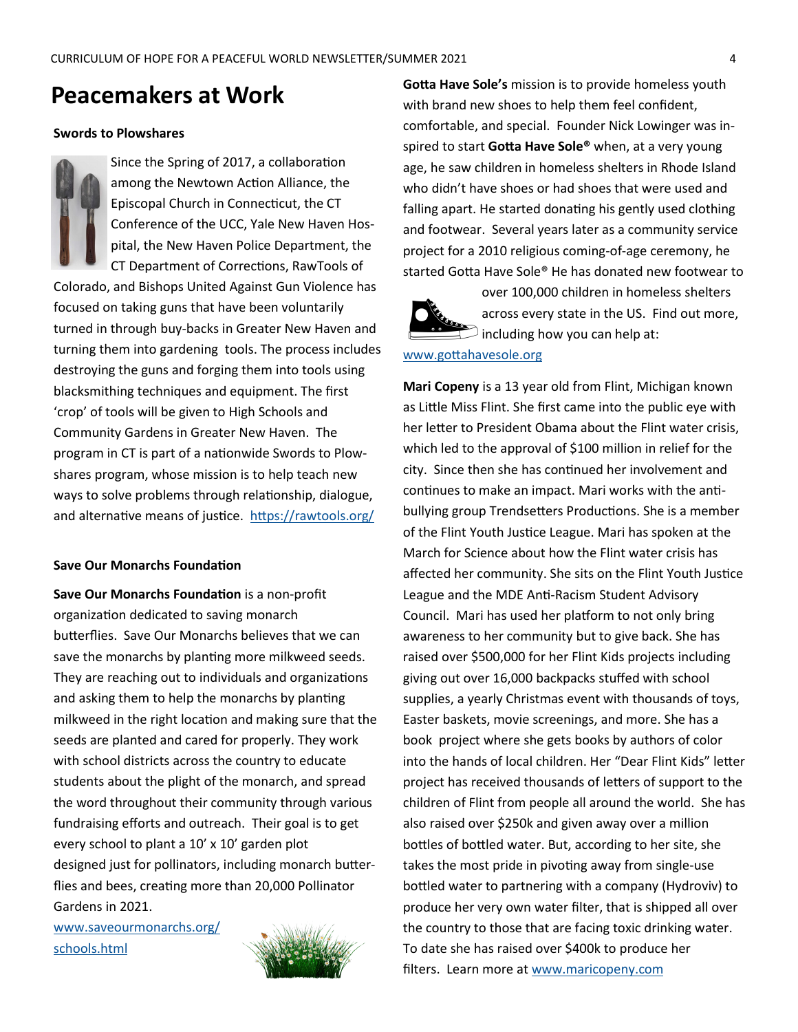### **Peacemakers at Work**

#### **Swords to Plowshares**

Since the Spring of 2017, a collaboration among the Newtown Action Alliance, the Episcopal Church in Connecticut, the CT Conference of the UCC, Yale New Haven Hospital, the New Haven Police Department, the CT Department of Corrections, RawTools of

Colorado, and Bishops United Against Gun Violence has focused on taking guns that have been voluntarily turned in through buy-backs in Greater New Haven and turning them into gardening tools. The process includes destroying the guns and forging them into tools using blacksmithing techniques and equipment. The first 'crop' of tools will be given to High Schools and Community Gardens in Greater New Haven. The program in CT is part of a nationwide Swords to Plowshares program, whose mission is to help teach new ways to solve problems through relationship, dialogue, and alternative means of justice. <https://rawtools.org/>

#### **Save Our Monarchs Foundation**

**Save Our Monarchs Foundation** is a non-profit organization dedicated to saving monarch butterflies. Save Our Monarchs believes that we can save the monarchs by planting more milkweed seeds. They are reaching out to individuals and organizations and asking them to help the monarchs by planting milkweed in the right location and making sure that the seeds are planted and cared for properly. They work with school districts across the country to educate students about the plight of the monarch, and spread the word throughout their community through various fundraising efforts and outreach. Their goal is to get every school to plant a 10' x 10' garden plot designed just for pollinators, including monarch butterflies and bees, creating more than 20,000 Pollinator Gardens in 2021.

[www.saveourmonarchs.org/](http://www.saveourmonarchs.org/schools.html) [schools.html](http://www.saveourmonarchs.org/schools.html)



**Gotta Have Sole's** mission is to provide homeless youth with brand new shoes to help them feel confident, comfortable, and special. Founder Nick Lowinger was inspired to start **Gotta Have Sole®** when, at a very young age, he saw children in homeless shelters in Rhode Island who didn't have shoes or had shoes that were used and falling apart. He started donating his gently used clothing and footwear. Several years later as a community service project for a 2010 religious coming-of-age ceremony, he started Gotta Have Sole® He has donated new footwear to



over 100,000 children in homeless shelters across every state in the US. Find out more,  $\sum$  including how you can help at:

#### [www.gottahavesole.org](http://www.gottahavesole.org)

**Mari Copeny** is a 13 year old from Flint, Michigan known as Little Miss Flint. She first came into the public eye with her letter to President Obama about the Flint water crisis, which led to the approval of \$100 million in relief for the city. Since then she has continued her involvement and continues to make an impact. Mari works with the antibullying group Trendsetters Productions. She is a member of the Flint Youth Justice League. Mari has spoken at the March for Science about how the Flint water crisis has affected her community. She sits on the Flint Youth Justice League and the MDE Anti-Racism Student Advisory Council. Mari has used her platform to not only bring awareness to her community but to give back. She has raised over \$500,000 for her Flint Kids projects including giving out over 16,000 backpacks stuffed with school supplies, a yearly Christmas event with thousands of toys, Easter baskets, movie screenings, and more. She has a book project where she gets books by authors of color into the hands of local children. Her "Dear Flint Kids" letter project has received thousands of letters of support to the children of Flint from people all around the world. She has also raised over \$250k and given away over a million bottles of bottled water. But, according to her site, she takes the most pride in pivoting away from single-use bottled water to partnering with a company (Hydroviv) to produce her very own water filter, that is shipped all over the country to those that are facing toxic drinking water. To date she has raised over \$400k to produce her filters. Learn more at [www.maricopeny.com](http://www.maricopeny.com)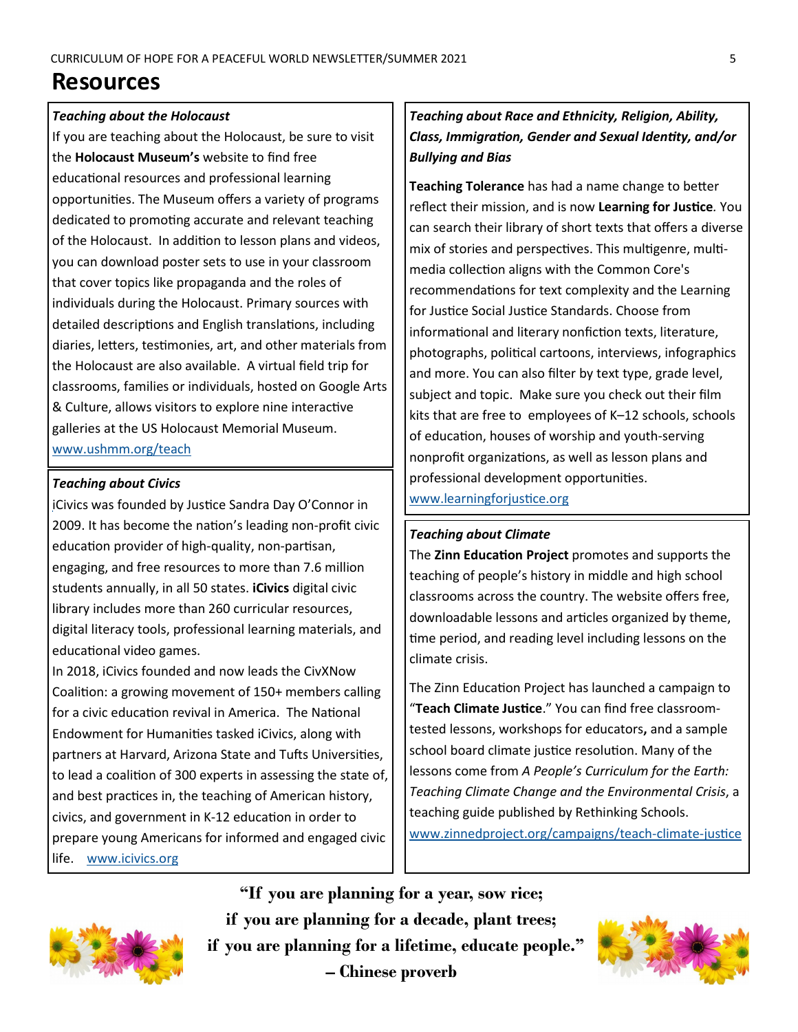# **Resources**

### *Teaching about the Holocaust*

If you are teaching about the Holocaust, be sure to visit the **Holocaust Museum's** website to find free educational resources and professional learning opportunities. The Museum offers a variety of programs dedicated to promoting accurate and relevant teaching of the Holocaust. In addition to lesson plans and videos, you can download poster sets to use in your classroom that cover topics like propaganda and the roles of individuals during the Holocaust. Primary sources with detailed descriptions and English translations, including diaries, letters, testimonies, art, and other materials from the Holocaust are also available. A virtual field trip for classrooms, families or individuals, hosted on Google Arts & Culture, allows visitors to explore nine interactive galleries at the US Holocaust Memorial Museum. [www.ushmm.org/teach](http://www.ushmm.org/teach)

### *Teaching about Civics*

[iC](http://www.icivics.org)ivics was founded by Justice Sandra Day O'Connor in 2009. It has become the nation's leading non-profit civic education provider of high-quality, non-partisan, engaging, and free resources to more than 7.6 million students annually, in all 50 states. **iCivics** digital civic library includes more than 260 curricular resources, digital literacy tools, professional learning materials, and educational video games.

In 2018, iCivics founded and now leads the CivXNow Coalition: a growing movement of 150+ members calling for a civic education revival in America. The National Endowment for Humanities tasked iCivics, along with partners at Harvard, Arizona State and Tufts Universities, to lead a coalition of 300 experts in assessing the state of, and best practices in, the teaching of American history, civics, and government in K-12 education in order to prepare young Americans for informed and engaged civic life. [www.icivics.org](http://www.icivics.org) 

### *Teaching about Race and Ethnicity, Religion, Ability, Class, Immigration, Gender and Sexual Identity, and/or Bullying and Bias*

**Teaching Tolerance** has had a name change to better reflect their mission, and is now **Learning for Justice***.* You can search their library of short texts that offers a diverse mix of stories and perspectives. This multigenre, multimedia collection aligns with the Common Core's recommendations for text complexity and the Learning for Justice Social Justice Standards. Choose from informational and literary nonfiction texts, literature, photographs, political cartoons, interviews, infographics and more. You can also filter by text type, grade level, subject and topic. Make sure you check out their film kits that are free to employees of K–12 schools, schools of education, houses of worship and youth-serving nonprofit organizations, as well as lesson plans and professional development opportunities. [www.learningforjustice.org](http://www.learningforjustice.org)

### *Teaching about Climate*

The **Zinn Education Project** promotes and supports the teaching of people's history in middle and high school classrooms across the country. The website offers free, downloadable lessons and articles organized by theme, time period, and reading level including lessons on the climate crisis.

The Zinn Education Project has launched a campaign to "**Teach Climate Justice**." You can find free classroomtested lessons, workshops for educators**,** and a sample school board climate justice resolution. Many of the lessons come from *A People's Curriculum for the Earth: Teaching Climate Change and the Environmental Crisis*, a teaching guide published by Rethinking Schools. [www.zinnedproject.org/campaigns/teach](http://www.zinnedproject.org/campaigns/teach-climate-justice)-climate-justice



**"If you are planning for a year, sow rice; if you are planning for a decade, plant trees; if you are planning for a lifetime, educate people." – Chinese proverb**